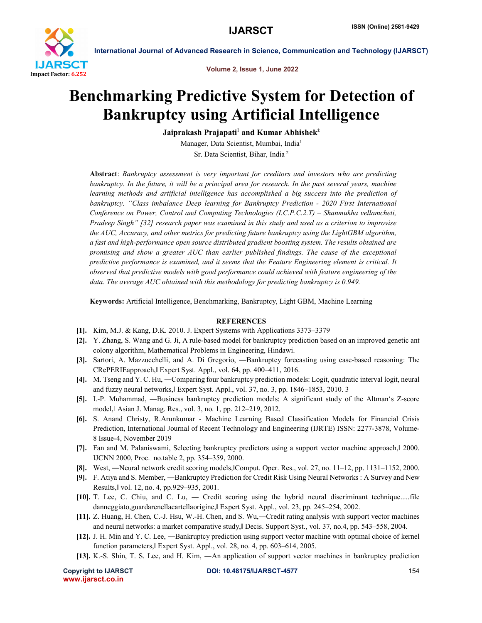

International Journal of Advanced Research in Science, Communication and Technology (IJARSCT)

Volume 2, Issue 1, June 2022

# Benchmarking Predictive System for Detection of Bankruptcy using Artificial Intelligence

Jaiprakash Prajapati<sup>1</sup> and Kumar Abhishek<sup>2</sup>

Manager, Data Scientist, Mumbai, India1 Sr. Data Scientist, Bihar, India <sup>2</sup>

Abstract: *Bankruptcy assessment is very important for creditors and investors who are predicting bankruptcy. In the future, it will be a principal area for research. In the past several years, machine* learning methods and artificial intelligence has accomplished a big success into the prediction of *bankruptcy. "Class imbalance Deep learning for Bankruptcy Prediction - 2020 First International Conference on Power, Control and Computing Technologies (I.C.P.C.2.T) – Shanmukha vellamcheti, Pradeep Singh" [32] research paper was examined in this study and used as a criterion to improvise the AUC, Accuracy, and other metrics for predicting future bankruptcy using the LightGBM algorithm, a fast and high-performance open source distributed gradient boosting system. The results obtained are promising and show a greater AUC than earlier published findings. The cause of the exceptional predictive performance is examined, and it seems that the Feature Engineering element is critical. It observed that predictive models with good performance could achieved with feature engineering of the data. The average AUC obtained with this methodology for predicting bankruptcy is 0.949.*

Keywords: Artificial Intelligence, Benchmarking, Bankruptcy, Light GBM, Machine Learning

# **REFERENCES**

- [1]. Kim, M.J. & Kang, D.K. 2010. J. Expert Systems with Applications 3373–3379
- [2]. Y. Zhang, S. Wang and G. Ji, A rule-based model for bankruptcy prediction based on an improved genetic ant colony algorithm, Mathematical Problems in Engineering, Hindawi.
- [3]. Sartori, A. Mazzucchelli, and A. Di Gregorio, ―Bankruptcy forecasting using case-based reasoning: The CRePERIEapproach,ǁ Expert Syst. Appl., vol. 64, pp. 400–411, 2016.
- [4]. M. Tseng and Y. C. Hu, —Comparing four bankruptcy prediction models: Logit, quadratic interval logit, neural and fuzzy neural networks,ǁ Expert Syst. Appl., vol. 37, no. 3, pp. 1846–1853, 2010. 3
- [5]. I.-P. Muhammad, ―Business bankruptcy prediction models: A significant study of the Altman's Z-score model,ǁ Asian J. Manag. Res., vol. 3, no. 1, pp. 212–219, 2012.
- [6]. S. Anand Christy, R.Arunkumar Machine Learning Based Classification Models for Financial Crisis Prediction, International Journal of Recent Technology and Engineering (IJRTE) ISSN: 2277-3878, Volume-8 Issue-4, November 2019
- [7]. Fan and M. Palaniswami, Selecting bankruptcy predictors using a support vector machine approach, $\vert$  2000. IJCNN 2000, Proc. no.table 2, pp. 354–359, 2000.
- [8]. West, —Neural network credit scoring models, Comput. Oper. Res., vol. 27, no. 11–12, pp. 1131–1152, 2000.
- [9]. F. Atiya and S. Member, ―Bankruptcy Prediction for Credit Risk Using Neural Networks : A Survey and New Results,ǁ vol. 12, no. 4, pp.929–935, 2001.
- [10]. T. Lee, C. Chiu, and C. Lu, ― Credit scoring using the hybrid neural discriminant technique.....file danneggiato,guardarenellacartellaorigine, Expert Syst. Appl., vol. 23, pp. 245–254, 2002.
- [11]. Z. Huang, H. Chen, C.-J. Hsu, W.-H. Chen, and S. Wu,―Credit rating analysis with support vector machines and neural networks: a market comparative study, | Decis. Support Syst., vol. 37, no.4, pp. 543–558, 2004.
- [12]. J. H. Min and Y. C. Lee, ―Bankruptcy prediction using support vector machine with optimal choice of kernel function parameters, Expert Syst. Appl., vol. 28, no. 4, pp. 603–614, 2005.
- [13]. K.-S. Shin, T. S. Lee, and H. Kim, ―An application of support vector machines in bankruptcy prediction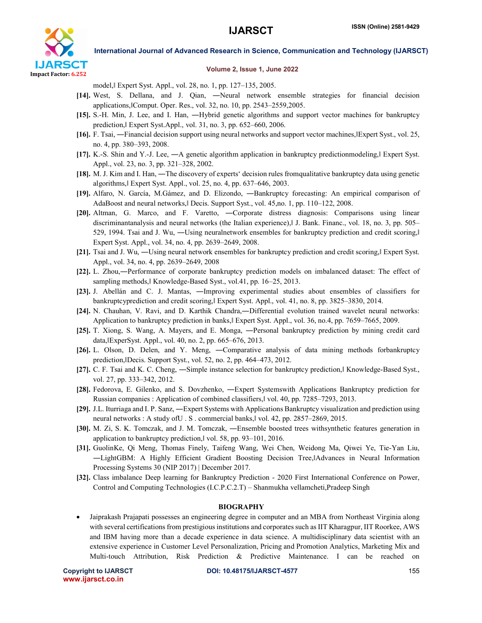

International Journal of Advanced Research in Science, Communication and Technology (IJARSCT)

## Volume 2, Issue 1, June 2022

model,ǁ Expert Syst. Appl., vol. 28, no. 1, pp. 127–135, 2005.

- [14]. West, S. Dellana, and J. Qian, ―Neural network ensemble strategies for financial decision applications,ǁComput. Oper. Res., vol. 32, no. 10, pp. 2543–2559,2005.
- [15]. S.-H. Min, J. Lee, and I. Han, ―Hybrid genetic algorithms and support vector machines for bankruptcy prediction,ǁ Expert Syst.Appl., vol. 31, no. 3, pp. 652–660, 2006.
- [16]. F. Tsai, —Financial decision support using neural networks and support vector machines, Expert Syst., vol. 25, no. 4, pp. 380–393, 2008.
- [17]. K.-S. Shin and Y.-J. Lee, —A genetic algorithm application in bankruptcy predictionmodeling, Expert Syst. Appl., vol. 23, no. 3, pp. 321–328, 2002.
- [18]. M. J. Kim and I. Han, ―The discovery of experts' decision rules fromqualitative bankruptcy data using genetic algorithms,ǁ Expert Syst. Appl., vol. 25, no. 4, pp. 637–646, 2003.
- [19]. Alfaro, N. García, M.Gámez, and D. Elizondo, ―Bankruptcy forecasting: An empirical comparison of AdaBoost and neural networks, Decis. Support Syst., vol. 45,no. 1, pp. 110–122, 2008.
- [20]. Altman, G. Marco, and F. Varetto, ―Corporate distress diagnosis: Comparisons using linear discriminantanalysis and neural networks (the Italian experience),ǁ J. Bank. Financ., vol. 18, no. 3, pp. 505– 529, 1994. Tsai and J. Wu, —Using neuralnetwork ensembles for bankruptcy prediction and credit scoring, Expert Syst. Appl., vol. 34, no. 4, pp. 2639–2649, 2008.
- [21]. Tsai and J. Wu, —Using neural network ensembles for bankruptcy prediction and credit scoring, Expert Syst. Appl., vol. 34, no. 4, pp. 2639–2649, 2008
- [22]. L. Zhou,—Performance of corporate bankruptcy prediction models on imbalanced dataset: The effect of sampling methods, Knowledge-Based Syst., vol.41, pp. 16–25, 2013.
- [23]. J. Abellán and C. J. Mantas, ―Improving experimental studies about ensembles of classifiers for bankruptcyprediction and credit scoring, Expert Syst. Appl., vol. 41, no. 8, pp. 3825–3830, 2014.
- [24]. N. Chauhan, V. Ravi, and D. Karthik Chandra,―Differential evolution trained wavelet neural networks: Application to bankruptcy prediction in banks, Expert Syst. Appl., vol. 36, no.4, pp. 7659–7665, 2009.
- [25]. T. Xiong, S. Wang, A. Mayers, and E. Monga, ―Personal bankruptcy prediction by mining credit card data,ǁExperSyst. Appl., vol. 40, no. 2, pp. 665–676, 2013.
- [26]. L. Olson, D. Delen, and Y. Meng, ―Comparative analysis of data mining methods forbankruptcy prediction,ǁDecis. Support Syst., vol. 52, no. 2, pp. 464–473, 2012.
- [27]. C. F. Tsai and K. C. Cheng, —Simple instance selection for bankruptcy prediction, Knowledge-Based Syst., vol. 27, pp. 333–342, 2012.
- [28]. Fedorova, E. Gilenko, and S. Dovzhenko, ―Expert Systemswith Applications Bankruptcy prediction for Russian companies : Application of combined classifiers,ǁ vol. 40, pp. 7285–7293, 2013.
- [29]. J.L. Iturriaga and I. P. Sanz, ―Expert Systems with Applications Bankruptcy visualization and prediction using neural networks : A study of U.S. commercial banks, vol. 42, pp. 2857–2869, 2015.
- [30]. M. Zi, S. K. Tomczak, and J. M. Tomczak, ―Ensemble boosted trees withsynthetic features generation in application to bankruptcy prediction,ǁ vol. 58, pp. 93–101, 2016.
- [31]. GuolinKe, Qi Meng, Thomas Finely, Taifeng Wang, Wei Chen, Weidong Ma, Qiwei Ye, Tie-Yan Liu, ―LightGBM: A Highly Efficient Gradient Boosting Decision Tree,ǁAdvances in Neural Information Processing Systems 30 (NIP 2017) | December 2017.
- [32]. Class imbalance Deep learning for Bankruptcy Prediction 2020 First International Conference on Power, Control and Computing Technologies (I.C.P.C.2.T) – Shanmukha vellamcheti,Pradeep Singh

### BIOGRAPHY

 Jaiprakash Prajapati possesses an engineering degree in computer and an MBA from Northeast Virginia along with several certifications from prestigious institutions and corporates such as IIT Kharagpur, IIT Roorkee, AWS and IBM having more than a decade experience in data science. A multidisciplinary data scientist with an extensive experience in Customer Level Personalization, Pricing and Promotion Analytics, Marketing Mix and Multi-touch Attribution, Risk Prediction & Predictive Maintenance. I can be reached on

www.ijarsct.co.in